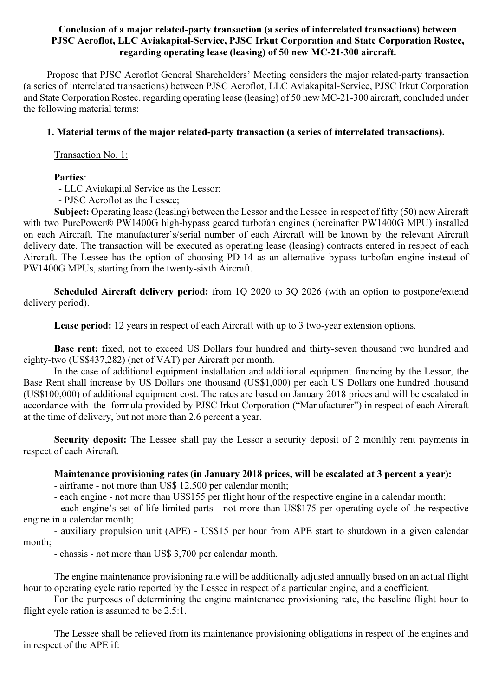## Conclusion of a major related-party transaction (a series of interrelated transactions) between PJSC Aeroflot, LLC Aviakapital-Service, PJSC Irkut Corporation and State Corporation Rostec, regarding operating lease (leasing) of 50 new MC-21-300 aircraft.

Propose that PJSC Aeroflot General Shareholders' Meeting considers the major related-party transaction (a series of interrelated transactions) between PJSC Aeroflot, LLC Aviakapital-Service, PJSC Irkut Corporation and State Corporation Rostec, regarding operating lease (leasing) of 50 new MC-21-300 aircraft, concluded under the following material terms:

## 1. Material terms of the major related-party transaction (a series of interrelated transactions).

Transaction No. 1:

## Parties:

- LLC Aviakapital Service as the Lessor;

- PJSC Aeroflot as the Lessee;

Subject: Operating lease (leasing) between the Lessor and the Lessee in respect of fifty (50) new Aircraft with two PurePower® PW1400G high-bypass geared turbofan engines (hereinafter PW1400G MPU) installed on each Aircraft. The manufacturer's/serial number of each Aircraft will be known by the relevant Aircraft delivery date. The transaction will be executed as operating lease (leasing) contracts entered in respect of each Aircraft. The Lessee has the option of choosing PD-14 as an alternative bypass turbofan engine instead of PW1400G MPUs, starting from the twenty-sixth Aircraft.

Scheduled Aircraft delivery period: from 1Q 2020 to 3Q 2026 (with an option to postpone/extend delivery period).

Lease period: 12 years in respect of each Aircraft with up to 3 two-year extension options.

Base rent: fixed, not to exceed US Dollars four hundred and thirty-seven thousand two hundred and eighty-two (US\$437,282) (net of VAT) per Aircraft per month.

In the case of additional equipment installation and additional equipment financing by the Lessor, the Base Rent shall increase by US Dollars one thousand (US\$1,000) per each US Dollars one hundred thousand (US\$100,000) of additional equipment cost. The rates are based on January 2018 prices and will be escalated in accordance with the formula provided by PJSC Irkut Corporation ("Manufacturer") in respect of each Aircraft at the time of delivery, but not more than 2.6 percent a year.

Security deposit: The Lessee shall pay the Lessor a security deposit of 2 monthly rent payments in respect of each Aircraft.

### Maintenance provisioning rates (in January 2018 prices, will be escalated at 3 percent a year):

- airframe - not more than US\$ 12,500 per calendar month;

- each engine - not more than US\$155 per flight hour of the respective engine in a calendar month;

- each engine's set of life-limited parts - not more than US\$175 per operating cycle of the respective engine in a calendar month;

- auxiliary propulsion unit (APE) - US\$15 per hour from APE start to shutdown in a given calendar month;

- chassis - not more than US\$ 3,700 per calendar month.

The engine maintenance provisioning rate will be additionally adjusted annually based on an actual flight hour to operating cycle ratio reported by the Lessee in respect of a particular engine, and a coefficient.

For the purposes of determining the engine maintenance provisioning rate, the baseline flight hour to flight cycle ration is assumed to be 2.5:1.

The Lessee shall be relieved from its maintenance provisioning obligations in respect of the engines and in respect of the APE if: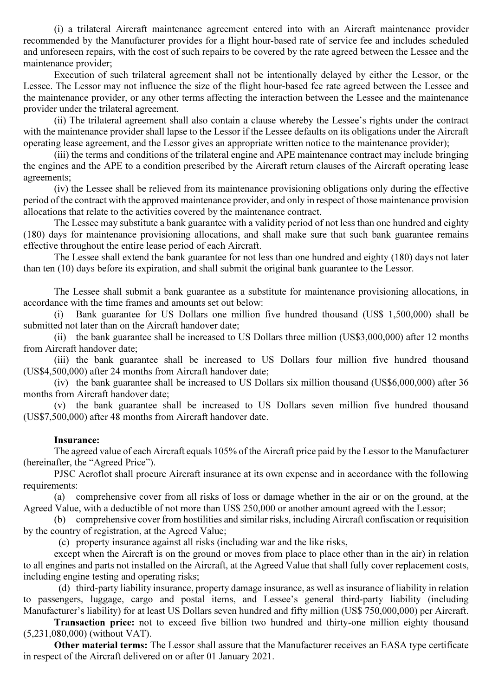(i) a trilateral Aircraft maintenance agreement entered into with an Aircraft maintenance provider recommended by the Manufacturer provides for a flight hour-based rate of service fee and includes scheduled and unforeseen repairs, with the cost of such repairs to be covered by the rate agreed between the Lessee and the maintenance provider;

Execution of such trilateral agreement shall not be intentionally delayed by either the Lessor, or the Lessee. The Lessor may not influence the size of the flight hour-based fee rate agreed between the Lessee and the maintenance provider, or any other terms affecting the interaction between the Lessee and the maintenance provider under the trilateral agreement.

(ii) The trilateral agreement shall also contain a clause whereby the Lessee's rights under the contract with the maintenance provider shall lapse to the Lessor if the Lessee defaults on its obligations under the Aircraft operating lease agreement, and the Lessor gives an appropriate written notice to the maintenance provider);

(iii) the terms and conditions of the trilateral engine and APE maintenance contract may include bringing the engines and the APE to a condition prescribed by the Aircraft return clauses of the Aircraft operating lease agreements;

(iv) the Lessee shall be relieved from its maintenance provisioning obligations only during the effective period of the contract with the approved maintenance provider, and only in respect of those maintenance provision allocations that relate to the activities covered by the maintenance contract.

The Lessee may substitute a bank guarantee with a validity period of not less than one hundred and eighty (180) days for maintenance provisioning allocations, and shall make sure that such bank guarantee remains effective throughout the entire lease period of each Aircraft.

The Lessee shall extend the bank guarantee for not less than one hundred and eighty (180) days not later than ten (10) days before its expiration, and shall submit the original bank guarantee to the Lessor.

The Lessee shall submit a bank guarantee as a substitute for maintenance provisioning allocations, in accordance with the time frames and amounts set out below:

(i) Bank guarantee for US Dollars one million five hundred thousand (US\$ 1,500,000) shall be submitted not later than on the Aircraft handover date;

(ii) the bank guarantee shall be increased to US Dollars three million (US\$3,000,000) after 12 months from Aircraft handover date;

(iii) the bank guarantee shall be increased to US Dollars four million five hundred thousand (US\$4,500,000) after 24 months from Aircraft handover date;

(iv) the bank guarantee shall be increased to US Dollars six million thousand (US\$6,000,000) after 36 months from Aircraft handover date;

(v) the bank guarantee shall be increased to US Dollars seven million five hundred thousand (US\$7,500,000) after 48 months from Aircraft handover date.

#### Insurance:

The agreed value of each Aircraft equals 105% of the Aircraft price paid by the Lessor to the Manufacturer (hereinafter, the "Agreed Price").

PJSC Aeroflot shall procure Aircraft insurance at its own expense and in accordance with the following requirements:

(a) comprehensive cover from all risks of loss or damage whether in the air or on the ground, at the Agreed Value, with a deductible of not more than US\$ 250,000 or another amount agreed with the Lessor;

(b) comprehensive cover from hostilities and similar risks, including Aircraft confiscation or requisition by the country of registration, at the Agreed Value;

(c) property insurance against all risks (including war and the like risks,

except when the Aircraft is on the ground or moves from place to place other than in the air) in relation to all engines and parts not installed on the Aircraft, at the Agreed Value that shall fully cover replacement costs, including engine testing and operating risks;

 (d) third-party liability insurance, property damage insurance, as well as insurance of liability in relation to passengers, luggage, cargo and postal items, and Lessee's general third-party liability (including Manufacturer's liability) for at least US Dollars seven hundred and fifty million (US\$ 750,000,000) per Aircraft.

Transaction price: not to exceed five billion two hundred and thirty-one million eighty thousand (5,231,080,000) (without VAT).

Other material terms: The Lessor shall assure that the Manufacturer receives an EASA type certificate in respect of the Aircraft delivered on or after 01 January 2021.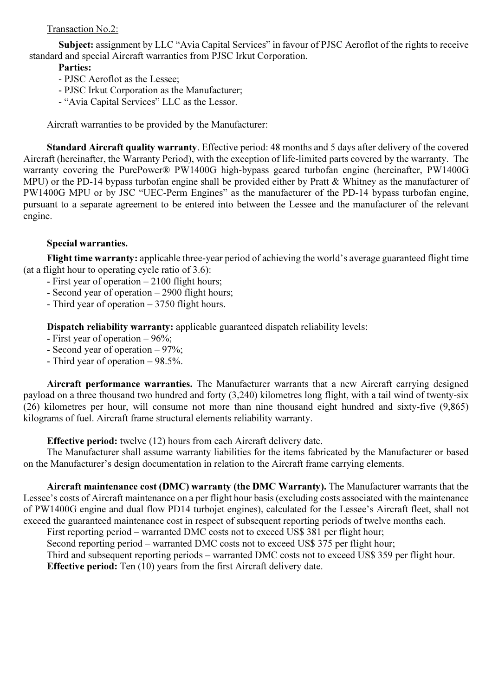# Transaction No.2:

Subject: assignment by LLC "Avia Capital Services" in favour of PJSC Aeroflot of the rights to receive standard and special Aircraft warranties from PJSC Irkut Corporation.

## Parties:

- PJSC Aeroflot as the Lessee;
- PJSC Irkut Corporation as the Manufacturer;
- "Avia Capital Services" LLC as the Lessor.

Aircraft warranties to be provided by the Manufacturer:

Standard Aircraft quality warranty. Effective period: 48 months and 5 days after delivery of the covered Aircraft (hereinafter, the Warranty Period), with the exception of life-limited parts covered by the warranty. The warranty covering the PurePower® PW1400G high-bypass geared turbofan engine (hereinafter, PW1400G MPU) or the PD-14 bypass turbofan engine shall be provided either by Pratt & Whitney as the manufacturer of PW1400G MPU or by JSC "UEC-Perm Engines" as the manufacturer of the PD-14 bypass turbofan engine, pursuant to a separate agreement to be entered into between the Lessee and the manufacturer of the relevant engine.

# Special warranties.

Flight time warranty: applicable three-year period of achieving the world's average guaranteed flight time (at a flight hour to operating cycle ratio of 3.6):

- First year of operation 2100 flight hours;
- Second year of operation 2900 flight hours;
- Third year of operation 3750 flight hours.

Dispatch reliability warranty: applicable guaranteed dispatch reliability levels:

- First year of operation 96%;
- Second year of operation 97%;
- Third year of operation 98.5%.

Aircraft performance warranties. The Manufacturer warrants that a new Aircraft carrying designed payload on a three thousand two hundred and forty (3,240) kilometres long flight, with a tail wind of twenty-six (26) kilometres per hour, will consume not more than nine thousand eight hundred and sixty-five (9,865) kilograms of fuel. Aircraft frame structural elements reliability warranty.

Effective period: twelve (12) hours from each Aircraft delivery date.

The Manufacturer shall assume warranty liabilities for the items fabricated by the Manufacturer or based on the Manufacturer's design documentation in relation to the Aircraft frame carrying elements.

Aircraft maintenance cost (DMC) warranty (the DMC Warranty). The Manufacturer warrants that the Lessee's costs of Aircraft maintenance on a per flight hour basis (excluding costs associated with the maintenance of PW1400G engine and dual flow PD14 turbojet engines), calculated for the Lessee's Aircraft fleet, shall not exceed the guaranteed maintenance cost in respect of subsequent reporting periods of twelve months each.

First reporting period – warranted DMC costs not to exceed US\$ 381 per flight hour;

Second reporting period – warranted DMC costs not to exceed US\$ 375 per flight hour;

Third and subsequent reporting periods – warranted DMC costs not to exceed US\$ 359 per flight hour.

Effective period: Ten (10) years from the first Aircraft delivery date.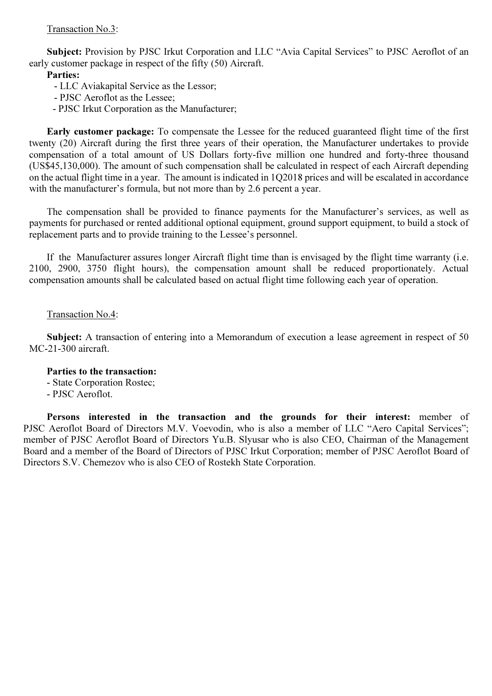## Transaction No.3:

Subject: Provision by PJSC Irkut Corporation and LLC "Avia Capital Services" to PJSC Aeroflot of an early customer package in respect of the fifty (50) Aircraft.

## Parties:

- LLC Aviakapital Service as the Lessor;
- PJSC Aeroflot as the Lessee;
- PJSC Irkut Corporation as the Manufacturer;

Early customer package: To compensate the Lessee for the reduced guaranteed flight time of the first twenty (20) Aircraft during the first three years of their operation, the Manufacturer undertakes to provide compensation of a total amount of US Dollars forty-five million one hundred and forty-three thousand (US\$45,130,000). The amount of such compensation shall be calculated in respect of each Aircraft depending on the actual flight time in a year. The amount is indicated in 1Q2018 prices and will be escalated in accordance with the manufacturer's formula, but not more than by 2.6 percent a year.

The compensation shall be provided to finance payments for the Manufacturer's services, as well as payments for purchased or rented additional optional equipment, ground support equipment, to build a stock of replacement parts and to provide training to the Lessee's personnel.

If the Manufacturer assures longer Aircraft flight time than is envisaged by the flight time warranty (i.e. 2100, 2900, 3750 flight hours), the compensation amount shall be reduced proportionately. Actual compensation amounts shall be calculated based on actual flight time following each year of operation.

### Transaction No.4:

Subject: A transaction of entering into a Memorandum of execution a lease agreement in respect of 50 MC-21-300 aircraft.

#### Parties to the transaction:

- State Corporation Rostec;
- PJSC Aeroflot.

Persons interested in the transaction and the grounds for their interest: member of PJSC Aeroflot Board of Directors M.V. Voevodin, who is also a member of LLC "Aero Capital Services"; member of PJSC Aeroflot Board of Directors Yu.B. Slyusar who is also CEO, Chairman of the Management Board and a member of the Board of Directors of PJSC Irkut Corporation; member of PJSC Aeroflot Board of Directors S.V. Chemezov who is also CEO of Rostekh State Corporation.